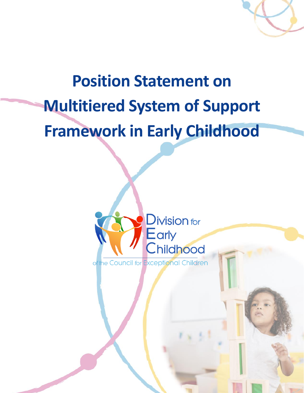

# **Position Statement on Multitiered System of Support Framework in Early Childhood**

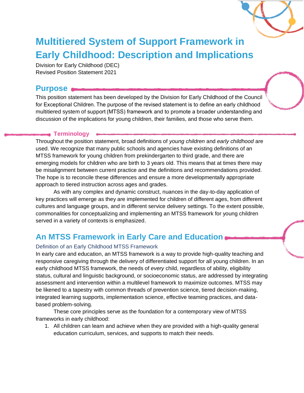

## **Multitiered System of Support Framework in Early Childhood: Description and Implications**

Division for Early Childhood (DEC) Revised Position Statement 2021

### **Purpose**

This position statement has been developed by the Division for Early Childhood of the Council for Exceptional Children. The purpose of the revised statement is to define an early childhood multitiered system of support (MTSS) framework and to promote a broader understanding and discussion of the implications for young children, their families, and those who serve them.

### **Terminology**

Throughout the position statement, broad definitions of *young children* and *early childhood* are used. We recognize that many public schools and agencies have existing definitions of an MTSS framework for young children from prekindergarten to third grade, and there are emerging models for children who are birth to 3 years old. This means that at times there may be misalignment between current practice and the definitions and recommendations provided. The hope is to reconcile these differences and ensure a more developmentally appropriate approach to tiered instruction across ages and grades.

As with any complex and dynamic construct, nuances in the day-to-day application of key practices will emerge as they are implemented for children of different ages, from different cultures and language groups, and in different service delivery settings. To the extent possible, commonalities for conceptualizing and implementing an MTSS framework for young children served in a variety of contexts is emphasized.

### **An MTSS Framework in Early Care and Education**

### Definition of an Early Childhood MTSS Framework

In early care and education, an MTSS framework is a way to provide high-quality teaching and responsive caregiving through the delivery of differentiated support for all young children. In an early childhood MTSS framework, the needs of *every* child, regardless of ability, eligibility status, cultural and linguistic background, or socioeconomic status, are addressed by integrating assessment and intervention within a multilevel framework to maximize outcomes. MTSS may be likened to a tapestry with common threads of prevention science, tiered decision-making, integrated learning supports, implementation science, effective teaming practices, and databased problem-solving.

These core principles serve as the foundation for a contemporary view of MTSS frameworks in early childhood:

1. All children can learn and achieve when they are provided with a high-quality general education curriculum, services, and supports to match their needs.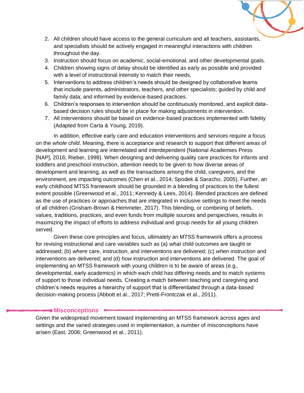

- 2. All children should have access to the general curriculum and all teachers, assistants, and specialists should be actively engaged in meaningful interactions with children throughout the day.
- 3. Instruction should focus on academic, social-emotional, and other developmental goals.
- 4. Children showing signs of delay should be identified as early as possible and provided with a level of instructional intensity to match their needs.
- 5. Interventions to address children's needs should be designed by collaborative teams that include parents, administrators, teachers, and other specialists; guided by child and family data; and informed by evidence-based practices.
- 6. Children's responses to intervention should be continuously monitored, and explicit databased decision rules should be in place for making adjustments in intervention.
- 7. All interventions should be based on evidence-based practices implemented with fidelity (Adapted from Carta & Young, 2019).

In addition, effective early care and education interventions and services require a focus on the *whole child*. Meaning, there is acceptance and research to support that different areas of development and learning are interrelated and interdependent (National Academies Press [NAP], 2016; Rieber, 1998). When designing and delivering quality care practices for infants and toddlers and preschool instruction, attention needs to be given to how diverse areas of development and learning, as well as the transactions among the child, caregivers, and the environment, are impacting outcomes (Chen et al., 2014; Spodek & Saracho, 2005). Further, an early childhood MTSS framework should be grounded in a blending of practices to the fullest extent possible (Greenwood et al., 2011; Kennedy & Lees, 2014). Blended practices are defined as the use of practices or approaches that are integrated in inclusive settings to meet the needs of all children (Grisham-Brown & Hemmeter, 2017). This blending, or combining of beliefs, values, traditions, practices, and even funds from multiple sources and perspectives, results in maximizing the impact of efforts to address individual and group needs for all young children served.

Given these core principles and focus, ultimately an MTSS framework offers a process for revising instructional and care variables such as (a) *what* child outcomes are taught or addressed; (b) *where* care, instruction, and interventions are delivered; (c) *when* instruction and interventions are delivered; and (d) *how* instruction and interventions are delivered. The goal of implementing an MTSS framework with young children is to be aware of areas (e.g., developmental, early academics) in which each child has differing needs and to match systems of support to those individual needs. Creating a match between teaching and caregiving and children's needs requires a hierarchy of support that is differentiated through a data-based decision-making process (Abbott et al., 2017; Pretti-Frontczak et al., 2011).

### **Misconceptions**

Given the widespread movement toward implementing an MTSS framework across ages and settings and the varied strategies used in implementation, a number of misconceptions have arisen (East, 2006; Greenwood et al., 2011).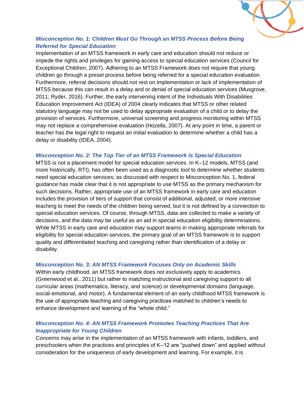

### *Misconception No. 1: Children Must Go Through an MTSS Process Before Being Referred for Special Education*

Implementation of an MTSS framework in early care and education should not reduce or impede the rights and privileges for gaining access to special education services (Council for Exceptional Children, 2007). Adhering to an MTSS Framework does not require that young children go through a preset process before being referred for a special education evaluation. Furthermore, referral decisions should not rest on implementation or lack of implementation of MTSS because this can result in a delay and or denial of special education services (Musgrove, 2011; Ryder, 2016). Further, the early intervening intent of the Individuals With Disabilities Education Improvement Act (IDEA) of 2004 clearly indicates that MTSS or other related statutory language may not be used to delay appropriate evaluation of a child or to delay the provision of services. Furthermore, universal screening and progress monitoring within MTSS may not replace a comprehensive evaluation (Hozella, 2007). At any point in time, a parent or teacher has the legal right to request an initial evaluation to determine whether a child has a delay or disability (IDEA, 2004).

### *Misconception No. 2: The Top Tier of an MTSS Framework Is Special Education*

MTSS is not a placement model for special education services. In K–12 models, MTSS (and more historically, RTI), has often been used as a diagnostic tool to determine whether students need special education services; as discussed with respect to Misconception No. 1, federal guidance has made clear that it is not appropriate to use MTSS as the primary mechanism for such decisions. Rather, appropriate use of an MTSS framework in early care and education includes the provision of tiers of support that consist of additional, adjusted, or more intensive teaching to meet the needs of the children being served, but it is not defined by a connection to special education services. Of course, through MTSS, data are collected to make a variety of decisions, and the data may be useful as an aid in special education eligibility determinations. While MTSS in early care and education may support teams in making appropriate referrals for eligibility for special education services, the primary goal of an MTSS framework is to support quality and differentiated teaching and caregiving rather than identification of a delay or disability.

### *Misconception No. 3: AN MTSS Framework Focuses Only on Academic Skills*

Within early childhood, an MTSS framework does not exclusively apply to academics (Greenwood et al., 2011) but rather to matching instructional and caregiving support to all curricular areas (mathematics, literacy, and science) or developmental domains (language, social-emotional, and motor). A fundamental element of an early childhood MTSS framework is the use of appropriate teaching and caregiving practices matched to children's needs to enhance development and learning of the "whole child."

### *Misconception No. 4: AN MTSS Framework Promotes Teaching Practices That Are Inappropriate for Young Children*

Concerns may arise in the implementation of an MTSS framework with infants, toddlers, and preschoolers when the practices and principles of K–12 are "pushed down" and applied without consideration for the uniqueness of early development and learning. For example, it is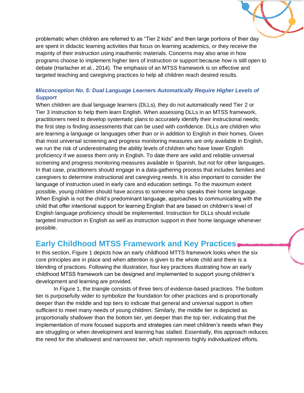problematic when children are referred to as "Tier 2 kids" and then large portions of their day are spent in didactic learning activities that focus on learning academics, or they receive the majority of their instruction using inauthentic materials. Concerns may also arise in how programs choose to implement higher tiers of instruction or support because *how* is still open to debate (Harlacher et al., 2014). The emphasis of an MTSS framework is on effective and targeted teaching and caregiving practices to help all children reach desired results.

### *Misconception No. 5: Dual Language Learners Automatically Require Higher Levels of Support*

When children are dual language learners (DLLs), they do not automatically need Tier 2 or Tier 3 instruction to help them learn English. When assessing DLLs in an MTSS framework, practitioners need to develop systematic plans to accurately identify their instructional needs; the first step is finding assessments that can be used with confidence. DLLs are children who are learning a language or languages other than or in addition to English in their homes. Given that most universal screening and progress monitoring measures are only available in English, we run the risk of underestimating the ability levels of children who have lower English proficiency if we assess them only in English. To date there are valid and reliable universal screening and progress monitoring measures available in Spanish, but not for other languages. In that case, practitioners should engage in a data-gathering process that includes families and caregivers to determine instructional and caregiving needs. It is also important to consider the language of instruction used in early care and education settings. To the maximum extent possible, young children should have access to someone who speaks their home language. When English is not the child's predominant language, approaches to communicating with the child that offer intentional support for learning English that are based on children's level of English language proficiency should be implemented. Instruction for DLLs should include targeted instruction in English as well as instruction support in their home language whenever possible.

### **Early Childhood MTSS Framework and Key Practices**

In this section, Figure 1 depicts how an early childhood MTTS framework looks when the six core principles are in place and when attention is given to the whole child and there is a blending of practices. Following the illustration, four key practices illustrating how an early childhood MTSS framework can be designed and implemented to support young children's development and learning are provided.

In Figure 1, the triangle consists of three tiers of evidence-based practices. The bottom tier is purposefully wider to symbolize the foundation for other practices and is proportionally deeper than the middle and top tiers to indicate that general and universal support is often sufficient to meet many needs of young children. Similarly, the middle tier is depicted as proportionally shallower than the bottom tier, yet deeper than the top tier, indicating that the implementation of more focused supports and strategies can meet children's needs when they are struggling or when development and learning has stalled. Essentially, this approach reduces the need for the shallowest and narrowest tier, which represents highly individualized efforts.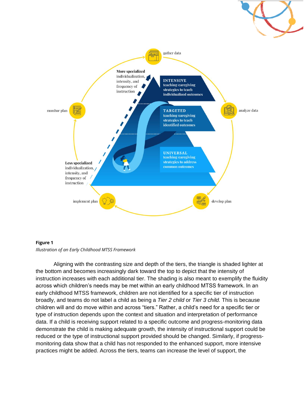

#### **Figure 1**



Aligning with the contrasting size and depth of the tiers, the triangle is shaded lighter at the bottom and becomes increasingly dark toward the top to depict that the intensity of instruction increases with each additional tier. The shading is also meant to exemplify the fluidity across which children's needs may be met within an early childhood MTSS framework. In an early childhood MTSS framework, children are not identified for a specific tier of instruction broadly, and teams do not label a child as being a *Tier 2 child* or *Tier 3 child.* This is because children will and do move within and across "tiers." Rather, a child's need for a specific tier or type of instruction depends upon the context and situation and interpretation of performance data. If a child is receiving support related to a specific outcome and progress-monitoring data demonstrate the child is making adequate growth, the intensity of instructional support could be reduced or the type of instructional support provided should be changed. Similarly, if progressmonitoring data show that a child has not responded to the enhanced support, more intensive practices might be added. Across the tiers, teams can increase the level of support, the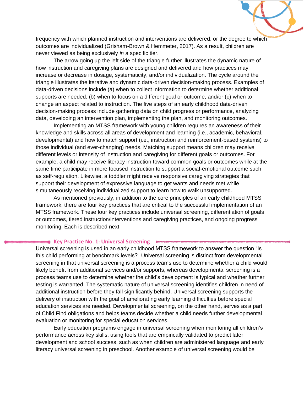frequency with which planned instruction and interventions are delivered, or the degree to which outcomes are individualized (Grisham-Brown & Hemmeter, 2017). As a result, children are never viewed as being exclusively *in* a specific tier.

The arrow going up the left side of the triangle further illustrates the dynamic nature of how instruction and caregiving plans are designed and delivered and how practices may increase or decrease in dosage, systematicity, and/or individualization. The cycle around the triangle illustrates the iterative and dynamic data-driven decision-making process. Examples of data-driven decisions include (a) when to collect information to determine whether additional supports are needed, (b) when to focus on a different goal or outcome, and/or (c) when to change an aspect related to instruction. The five steps of an early childhood data-driven decision-making process include gathering data on child progress or performance, analyzing data, developing an intervention plan, implementing the plan, and monitoring outcomes.

Implementing an MTSS framework with young children requires an awareness of their knowledge and skills across all areas of development and learning (i.e., academic, behavioral, developmental) and how to match support (i.e., instruction and reinforcement-based systems) to those individual (and ever-changing) needs. Matching support means children may receive different levels or intensity of instruction and caregiving for different goals or outcomes. For example, a child may receive literacy instruction toward common goals or outcomes while at the same time participate in more focused instruction to support a social-emotional outcome such as self-regulation. Likewise, a toddler might receive responsive caregiving strategies that support their development of expressive language to get wants and needs met while simultaneously receiving individualized support to learn how to walk unsupported.

As mentioned previously, in addition to the core principles of an early childhood MTSS framework, there are four key practices that are critical to the successful implementation of an MTSS framework. These four key practices include universal screening, differentiation of goals or outcomes, tiered instruction/interventions and caregiving practices, and ongoing progress monitoring. Each is described next.

#### **Key Practice No. 1: Universal Screening**

Universal screening is used in an early childhood MTSS framework to answer the question "Is this child performing at benchmark levels?" Universal screening is distinct from developmental screening in that universal screening is a process teams use to determine whether a child would likely benefit from additional services and/or supports, whereas developmental screening is a process teams use to determine whether the child's development is typical and whether further testing is warranted. The systematic nature of universal screening identifies children in need of additional instruction before they fall significantly behind. Universal screening supports the delivery of instruction with the goal of ameliorating early learning difficulties before special education services are needed. Developmental screening, on the other hand, serves as a part of Child Find obligations and helps teams decide whether a child needs further developmental evaluation or monitoring for special education services.

Early education programs engage in universal screening when monitoring all children's performance across key skills, using tools that are empirically validated to predict later development and school success, such as when children are administered language and early literacy universal screening in preschool. Another example of universal screening would be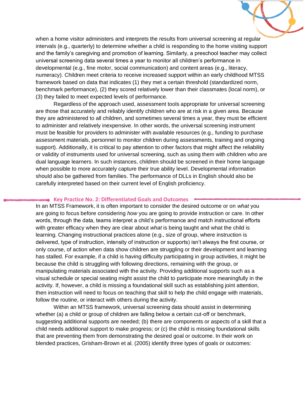when a home visitor administers and interprets the results from universal screening at regular intervals (e.g., quarterly) to determine whether a child is responding to the home visiting support and the family's caregiving and promotion of learning. Similarly, a preschool teacher may collect universal screening data several times a year to monitor all children's performance in developmental (e.g., fine motor, social communication) and content areas (e.g., literacy, numeracy). Children meet criteria to receive increased support within an early childhood MTSS framework based on data that indicates (1) they met a certain threshold (standardized norm, benchmark performance), (2) they scored relatively lower than their classmates (local norm), or (3) they failed to meet expected levels of performance.

Regardless of the approach used, assessment tools appropriate for universal screening are those that accurately and reliably identify children who are at risk in a given area. Because they are administered to all children, and sometimes several times a year, they must be efficient to administer and relatively inexpensive. In other words, the universal screening instrument must be feasible for providers to administer with available resources (e.g., funding to purchase assessment materials, personnel to monitor children during assessments, training and ongoing support). Additionally, it is critical to pay attention to other factors that might affect the reliability or validity of instruments used for universal screening, such as using them with children who are dual language learners. In such instances, children should be screened in their home language when possible to more accurately capture their true ability level. Developmental information should also be gathered from families. The performance of DLLs in English should also be carefully interpreted based on their current level of English proficiency.

#### **Key Practice No. 2: Differentiated Goals and Outcomes**

In an MTSS Framework, it is often important to consider the desired outcome or on *what* you are going to focus before considering *how* you are going to provide instruction or care. In other words, through the data, teams interpret a child's performance and match instructional efforts with greater efficacy when they are clear about *what* is being taught and what the child is learning. Changing instructional practices alone (e.g., size of group, where instruction is delivered, type of instruction, intensity of instruction or supports) isn't always the first course, or only course, of action when data show children are struggling or their development and learning has stalled. For example, if a child is having difficulty participating in group activities, it might be because the child is struggling with following directions, remaining with the group, or manipulating materials associated with the activity. Providing additional supports such as a visual schedule or special seating might assist the child to participate more meaningfully in the activity. If, however, a child is missing a foundational skill such as establishing joint attention, then instruction will need to focus on teaching that skill to help the child engage with materials, follow the routine, or interact with others during the activity.

Within an MTSS framework, universal screening data should assist in determining whether (a) a child or group of children are falling below a certain cut-off or benchmark, suggesting additional supports are needed; (b) there are components or aspects of a skill that a child needs additional support to make progress; or (c) the child is missing foundational skills that are preventing them from demonstrating the desired goal or outcome. In their work on blended practices, Grisham-Brown et al. (2005) identify three types of goals or outcomes: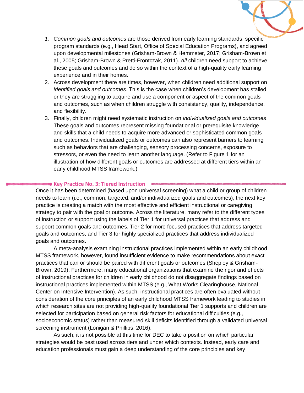

- *1. Common goals and outcomes* are those derived from early learning standards, specific program standards (e.g., Head Start, Office of Special Education Programs), and agreed upon developmental milestones (Grisham-Brown & Hemmeter, 2017; Grisham-Brown et al., 2005; Grisham-Brown & Pretti-Frontczak, 2011). *All* children need support to achieve these goals and outcomes and do so within the context of a high-quality early learning experience and in their homes.
- 2. Across development there are times, however, when children need additional support on *identified goals and outcomes*. This is the case when children's development has stalled or they are struggling to acquire and use a component or aspect of the common goals and outcomes, such as when children struggle with consistency, quality, independence, and flexibility.
- 3. Finally, children might need systematic instruction on *individualized goals and outcomes*. These goals and outcomes represent missing foundational or prerequisite knowledge and skills that a child needs to acquire more advanced or sophisticated common goals and outcomes. Individualized goals or outcomes can also represent barriers to learning such as behaviors that are challenging, sensory processing concerns, exposure to stressors, or even the need to learn another language. (Refer to Figure 1 for an illustration of how different goals or outcomes are addressed at different tiers within an early childhood MTSS framework.)

### **Key Practice No. 3: Tiered Instruction**

Once it has been determined (based upon universal screening) what a child or group of children needs to learn (i.e., common, targeted, and/or individualized goals and outcomes), the next key practice is creating a match with the most effective and efficient instructional or caregiving strategy to pair with the goal or outcome. Across the literature, many refer to the different types of instruction or support using the labels of Tier 1 for universal practices that address and support common goals and outcomes, Tier 2 for more focused practices that address targeted goals and outcomes, and Tier 3 for highly specialized practices that address individualized goals and outcomes.

A meta-analysis examining instructional practices implemented within an early childhood MTSS framework, however, found insufficient evidence to make recommendations about exact practices that can or should be paired with different goals or outcomes (Shepley & Grisham-Brown, 2019). Furthermore, many educational organizations that examine the rigor and effects of instructional practices for children in early childhood do not disaggregate findings based on instructional practices implemented within MTSS (e.g., What Works Clearinghouse, National Center on Intensive Intervention). As such, instructional practices are often evaluated without consideration of the core principles of an early childhood MTSS framework leading to studies in which research sites are not providing high-quality foundational Tier 1 supports and children are selected for participation based on general risk factors for educational difficulties (e.g., socioeconomic status) rather than measured skill deficits identified through a validated universal screening instrument (Lonigan & Phillips, 2016).

As such, it is not possible at this time for DEC to take a position on which particular strategies would be best used across tiers and under which contexts. Instead, early care and education professionals must gain a deep understanding of the core principles and key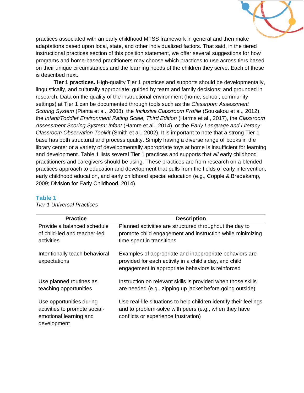

practices associated with an early childhood MTSS framework in general and then make adaptations based upon local, state, and other individualized factors. That said, in the tiered instructional practices section of this position statement, we offer several suggestions for how programs and home-based practitioners may choose which practices to use across tiers based on their unique circumstances and the learning needs of the children they serve. Each of these is described next.

**Tier 1 practices.** High-quality Tier 1 practices and supports should be developmentally, linguistically, and culturally appropriate; guided by team and family decisions; and grounded in research. Data on the quality of the instructional environment (home, school, community settings) at Tier 1 can be documented through tools such as the *Classroom Assessment Scoring System* (Pianta et al., 2008), the *Inclusive Classroom Profile* (Soukakou et al., 2012), the *Infant/Toddler Environment Rating Scale, Third Edition* (Harms et al., 2017), the *Classroom Assessment Scoring System: Infant* (Hamre et al., 2014), or the *Early Language and Literacy Classroom Observation Toolkit* (Smith et al., 2002). It is important to note that a strong Tier 1 base has both structural and process quality. Simply having a diverse range of books in the library center or a variety of developmentally appropriate toys at home is insufficient for learning and development. Table 1 lists several Tier 1 practices and supports that *all* early childhood practitioners and caregivers should be using. These practices are from research on a blended practices approach to education and development that pulls from the fields of early intervention, early childhood education, and early childhood special education (e.g., Copple & Bredekamp, 2009; Division for Early Childhood, 2014).

#### **Table 1**

| <b>Practice</b>                                                                                    | <b>Description</b>                                                                                                                                                     |
|----------------------------------------------------------------------------------------------------|------------------------------------------------------------------------------------------------------------------------------------------------------------------------|
| Provide a balanced schedule<br>of child-led and teacher-led<br>activities                          | Planned activities are structured throughout the day to<br>promote child engagement and instruction while minimizing<br>time spent in transitions                      |
| Intentionally teach behavioral<br>expectations                                                     | Examples of appropriate and inappropriate behaviors are<br>provided for each activity in a child's day, and child<br>engagement in appropriate behaviors is reinforced |
| Use planned routines as<br>teaching opportunities                                                  | Instruction on relevant skills is provided when those skills<br>are needed (e.g., zipping up jacket before going outside)                                              |
| Use opportunities during<br>activities to promote social-<br>emotional learning and<br>development | Use real-life situations to help children identify their feelings<br>and to problem-solve with peers (e.g., when they have<br>conflicts or experience frustration)     |

*Tier 1 Universal Practices*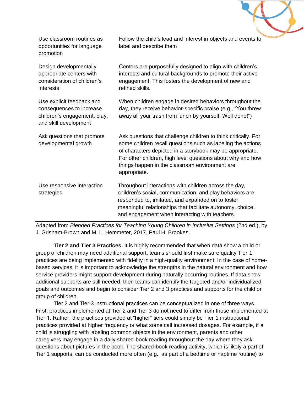

| opportunities for language<br>promotion                                                                        | label and describe them                                                                                                                                                                                                                                                                                                    |
|----------------------------------------------------------------------------------------------------------------|----------------------------------------------------------------------------------------------------------------------------------------------------------------------------------------------------------------------------------------------------------------------------------------------------------------------------|
| Design developmentally<br>appropriate centers with<br>consideration of children's<br>interests                 | Centers are purposefully designed to align with children's<br>interests and cultural backgrounds to promote their active<br>engagement. This fosters the development of new and<br>refined skills.                                                                                                                         |
| Use explicit feedback and<br>consequences to increase<br>children's engagement, play,<br>and skill development | When children engage in desired behaviors throughout the<br>day, they receive behavior-specific praise (e.g., "You threw<br>away all your trash from lunch by yourself. Well done!")                                                                                                                                       |
| Ask questions that promote<br>developmental growth                                                             | Ask questions that challenge children to think critically. For<br>some children recall questions such as labeling the actions<br>of characters depicted in a storybook may be appropriate.<br>For other children, high level questions about why and how<br>things happen in the classroom environment are<br>appropriate. |
| Use responsive interaction<br>strategies                                                                       | Throughout interactions with children across the day,<br>children's social, communication, and play behaviors are<br>responded to, imitated, and expanded on to foster<br>meaningful relationships that facilitate autonomy, choice,<br>and engagement when interacting with teachers.                                     |

Use classroom routines as

Adapted from *Blended Practices for Teaching Young Children in Inclusive Settings* (2nd ed.), by J. Grisham-Brown and M. L. Hemmeter, 2017, Paul H. Brookes.

**Tier 2 and Tier 3 Practices.** It is highly recommended that when data show a child or group of children may need additional support, teams should first make sure quality Tier 1 practices are being implemented with fidelity in a high-quality environment. In the case of homebased services, it is important to acknowledge the strengths in the natural environment and how service providers might support development during naturally occurring routines. If data show additional supports are still needed, then teams can identify the targeted and/or individualized goals and outcomes and begin to consider Tier 2 and 3 practices and supports for the child or group of children.

Tier 2 and Tier 3 instructional practices can be conceptualized in one of three ways. First, practices implemented at Tier 2 and Tier 3 do not need to differ from those implemented at Tier 1. Rather, the practices provided at "higher" tiers could simply be Tier 1 instructional practices provided at higher frequency or what some call increased dosages. For example, if a child is struggling with labeling common objects in the environment, parents and other caregivers may engage in a daily shared-book reading throughout the day where they ask questions about pictures in the book. The shared-book reading activity, which is likely a part of Tier 1 supports, can be conducted more often (e.g., as part of a bedtime or naptime routine) to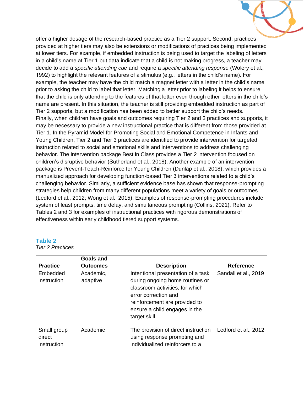offer a higher dosage of the research-based practice as a Tier 2 support. Second, practices provided at higher tiers may also be extensions or modifications of practices being implemented at lower tiers. For example, if embedded instruction is being used to target the labeling of letters in a child's name at Tier 1 but data indicate that a child is not making progress, a teacher may decide to add a *specific attending cue* and require a *specific attending response* (Wolery et al., 1992) to highlight the relevant features of a stimulus (e.g., letters in the child's name). For example, the teacher may have the child match a magnet letter with a letter in the child's name prior to asking the child to label that letter. Matching a letter prior to labeling it helps to ensure that the child is only attending to the features of that letter even though other letters in the child's name are present. In this situation, the teacher is still providing embedded instruction as part of Tier 2 supports, but a modification has been added to better support the child's needs. Finally, when children have goals and outcomes requiring Tier 2 and 3 practices and supports, it may be necessary to provide a new instructional practice that is different from those provided at Tier 1. In the Pyramid Model for Promoting Social and Emotional Competence in Infants and Young Children, Tier 2 and Tier 3 practices are identified to provide intervention for targeted instruction related to social and emotional skills and interventions to address challenging behavior. The intervention package Best in Class provides a Tier 2 intervention focused on children's disruptive behavior (Sutherland et al., 2018). Another example of an intervention package is Prevent-Teach-Reinforce for Young Children (Dunlap et al., 2018), which provides a manualized approach for developing function-based Tier 3 interventions related to a child's challenging behavior. Similarly, a sufficient evidence base has shown that response-prompting strategies help children from many different populations meet a variety of goals or outcomes (Ledford et al., 2012; Wong et al., 2015). Examples of response-prompting procedures include system of least prompts, time delay, and simultaneous prompting (Collins, 2021). Refer to Tables 2 and 3 for examples of instructional practices with rigorous demonstrations of effectiveness within early childhood tiered support systems.

|                                      | <b>Goals and</b>      |                                                                                                                                                                                                                    |                      |
|--------------------------------------|-----------------------|--------------------------------------------------------------------------------------------------------------------------------------------------------------------------------------------------------------------|----------------------|
| <b>Practice</b>                      | <b>Outcomes</b>       | <b>Description</b>                                                                                                                                                                                                 | <b>Reference</b>     |
| Embedded<br>instruction              | Academic,<br>adaptive | Intentional presentation of a task<br>during ongoing home routines or<br>classroom activities, for which<br>error correction and<br>reinforcement are provided to<br>ensure a child engages in the<br>target skill | Sandall et al., 2019 |
| Small group<br>direct<br>instruction | Academic              | The provision of direct instruction<br>using response prompting and<br>individualized reinforcers to a                                                                                                             | Ledford et al., 2012 |

### **Table 2**

*Tier 2 Practices*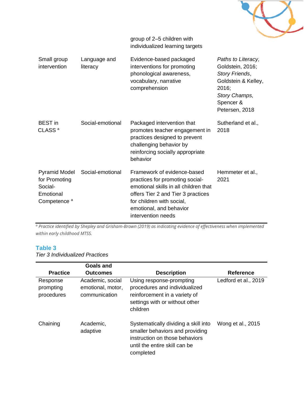

group of 2–5 children with individualized learning targets

| Small group<br>intervention                                                              | Language and<br>literacy | Evidence-based packaged<br>interventions for promoting<br>phonological awareness,<br>vocabulary, narrative<br>comprehension                                                                                                 | Paths to Literacy,<br>Goldstein, 2016;<br>Story Friends,<br>Goldstein & Kelley,<br>2016;<br>Story Champs,<br>Spencer &<br>Petersen, 2018 |
|------------------------------------------------------------------------------------------|--------------------------|-----------------------------------------------------------------------------------------------------------------------------------------------------------------------------------------------------------------------------|------------------------------------------------------------------------------------------------------------------------------------------|
| <b>BEST</b> in<br>CLASS <sup>a</sup>                                                     | Social-emotional         | Packaged intervention that<br>promotes teacher engagement in<br>practices designed to prevent<br>challenging behavior by<br>reinforcing socially appropriate<br>behavior                                                    | Sutherland et al.,<br>2018                                                                                                               |
| <b>Pyramid Model</b><br>for Promoting<br>Social-<br>Emotional<br>Competence <sup>a</sup> | Social-emotional         | Framework of evidence-based<br>practices for promoting social-<br>emotional skills in all children that<br>offers Tier 2 and Tier 3 practices<br>for children with social,<br>emotional, and behavior<br>intervention needs | Hemmeter et al.,<br>2021                                                                                                                 |

*<sup>a</sup> Practice identified by Shepley and Grisham-Brown (2019) as indicating evidence of effectiveness when implemented within early childhood MTSS.*

### **Table 3**

*Tier 3 Individualized Practices*

|                                     | <b>Goals and</b>                                       |                                                                                                                                                         |                      |
|-------------------------------------|--------------------------------------------------------|---------------------------------------------------------------------------------------------------------------------------------------------------------|----------------------|
| <b>Practice</b>                     | <b>Outcomes</b>                                        | <b>Description</b>                                                                                                                                      | <b>Reference</b>     |
| Response<br>prompting<br>procedures | Academic, social<br>emotional, motor,<br>communication | Using response-prompting<br>procedures and individualized<br>reinforcement in a variety of<br>settings with or without other<br>children                | Ledford et al., 2019 |
| Chaining                            | Academic,<br>adaptive                                  | Systematically dividing a skill into<br>smaller behaviors and providing<br>instruction on those behaviors<br>until the entire skill can be<br>completed | Wong et al., 2015    |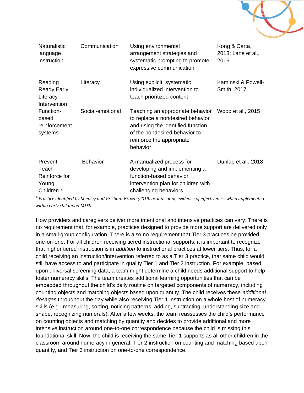

| <b>Naturalistic</b><br>language<br>instruction                        | Communication    | Using environmental<br>arrangement strategies and<br>systematic prompting to promote<br>expressive communication                                                                                      | Kong & Carta,<br>2013; Lane et al.,<br>2016 |
|-----------------------------------------------------------------------|------------------|-------------------------------------------------------------------------------------------------------------------------------------------------------------------------------------------------------|---------------------------------------------|
| Reading<br><b>Ready Early</b><br>Literacy<br>Intervention             | Literacy         | Using explicit, systematic<br>individualized intervention to<br>teach prioritized content                                                                                                             | Kaminski & Powell-<br>Smith, 2017           |
| Function-<br>based<br>reinforcement<br>systems                        | Social-emotional | Teaching an appropriate behavior Wood et al., 2015<br>to replace a nondesired behavior<br>and using the identified function<br>of the nondesired behavior to<br>reinforce the appropriate<br>behavior |                                             |
| Prevent-<br>Teach-<br>Reinforce for<br>Young<br>Children <sup>a</sup> | <b>Behavior</b>  | A manualized process for<br>developing and implementing a<br>function-based behavior<br>intervention plan for children with<br>challenging behaviors                                                  | Dunlap et al., 2018                         |

<sup>a</sup>*Practice identified by Shepley and Grisham-Brown (2019) as indicating evidence of effectiveness when implemented within early childhood MTSS*

How providers and caregivers deliver more intentional and intensive practices can vary. There is no requirement that, for example, practices designed to provide more support are delivered only in a small group configuration. There is also no requirement that Tier 3 practices be provided one-on-one. For all children receiving tiered instructional supports, it is important to recognize that higher tiered instruction is in *addition* to instructional practices at lower tiers. Thus, for a child receiving an instruction/intervention referred to as a Tier 3 practice, that same child would still have access to and participate in quality Tier 1 and Tier 2 instruction. For example, based upon universal screening data, a team might determine a child needs additional support to help foster numeracy skills. The team creates additional learning opportunities that can be embedded throughout the child's daily routine on targeted components of numeracy, including counting objects and matching objects based upon quantity. The child receives these *additional dosages* throughout the day while also receiving Tier 1 instruction on a whole host of numeracy skills (e.g., measuring, sorting, noticing patterns, adding, subtracting, understanding size and shape, recognizing numerals). After a few weeks, the team reassesses the child's performance on counting objects and matching by quantity and decides to provide additional and more intensive instruction around one-to-one correspondence because the child is missing this foundational skill. Now, the child is receiving the same Tier 1 supports as all other children in the classroom around numeracy in general, Tier 2 instruction on counting and matching based upon quantity, and Tier 3 instruction on one-to-one correspondence.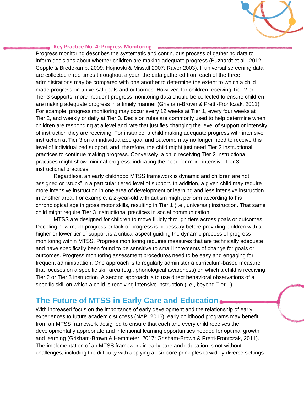

#### **Key Practice No. 4: Progress Monitoring**

Progress monitoring describes the systematic and continuous process of gathering data to inform decisions about whether children are making adequate progress (Buzhardt et al., 2012; Copple & Bredekamp, 2009; Hojnoski & Missall 2007; Raver 2003). If universal screening data are collected three times throughout a year, the data gathered from each of the three administrations may be compared with one another to determine the extent to which a child made progress on universal goals and outcomes. However, for children receiving Tier 2 or Tier 3 supports, more frequent progress monitoring data should be collected to ensure children are making adequate progress in a timely manner (Grisham-Brown & Pretti-Frontczak, 2011). For example, progress monitoring may occur every 12 weeks at Tier 1, every four weeks at Tier 2, and weekly or daily at Tier 3. Decision rules are commonly used to help determine when children are responding at a level and rate that justifies changing the level of support or intensity of instruction they are receiving. For instance, a child making adequate progress with intensive instruction at Tier 3 on an individualized goal and outcome may no longer need to receive this level of individualized support, and, therefore, the child might just need Tier 2 instructional practices to continue making progress. Conversely, a child receiving Tier 2 instructional practices might show minimal progress, indicating the need for more intensive Tier 3 instructional practices.

Regardless, an early childhood MTSS framework is dynamic and children are not assigned or "stuck" in a particular tiered level of support. In addition, a given child may require more intensive instruction in one area of development or learning and less intensive instruction in another area. For example, a 2-year-old with autism might perform according to his chronological age in gross motor skills, resulting in Tier 1 (i.e., universal) instruction. That same child might require Tier 3 instructional practices in social communication.

MTSS are designed for children to move fluidly through tiers across goals or outcomes. Deciding how much progress or lack of progress is necessary before providing children with a higher or lower tier of support is a critical aspect guiding the dynamic process of progress monitoring within MTSS. Progress monitoring requires measures that are technically adequate and have specifically been found to be sensitive to small increments of change for goals or outcomes. Progress monitoring assessment procedures need to be easy and engaging for frequent administration. One approach is to regularly administer a curriculum-based measure that focuses on a specific skill area (e.g., phonological awareness) on which a child is receiving Tier 2 or Tier 3 instruction. A second approach is to use direct behavioral observations of a specific skill on which a child is receiving intensive instruction (i.e., beyond Tier 1).

### **The Future of MTSS in Early Care and Education**

With increased focus on the importance of early development and the relationship of early experiences to future academic success (NAP, 2016), early childhood programs may benefit from an MTSS framework designed to ensure that each and every child receives the developmentally appropriate and intentional learning opportunities needed for optimal growth and learning (Grisham-Brown & Hemmeter, 2017; Grisham-Brown & Pretti-Frontczak, 2011). The implementation of an MTSS framework in early care and education is not without challenges, including the difficulty with applying all six core principles to widely diverse settings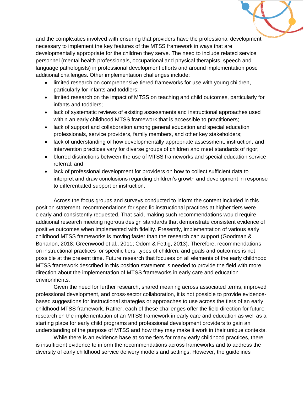

and the complexities involved with ensuring that providers have the professional development necessary to implement the key features of the MTSS framework in ways that are developmentally appropriate for the children they serve. The need to include related service personnel (mental health professionals, occupational and physical therapists, speech and language pathologists) in professional development efforts and around implementation pose additional challenges. Other implementation challenges include:

- limited research on comprehensive tiered frameworks for use with young children, particularly for infants and toddlers;
- limited research on the impact of MTSS on teaching and child outcomes, particularly for infants and toddlers;
- lack of systematic reviews of existing assessments and instructional approaches used within an early childhood MTSS framework that is accessible to practitioners;
- lack of support and collaboration among general education and special education professionals, service providers, family members, and other key stakeholders;
- lack of understanding of how developmentally appropriate assessment, instruction, and intervention practices vary for diverse groups of children and meet standards of rigor;
- blurred distinctions between the use of MTSS frameworks and special education service referral; and
- lack of professional development for providers on how to collect sufficient data to interpret and draw conclusions regarding children's growth and development in response to differentiated support or instruction.

Across the focus groups and surveys conducted to inform the content included in this position statement, recommendations for specific instructional practices at higher tiers were clearly and consistently requested. That said, making such recommendations would require additional research meeting rigorous design standards that demonstrate consistent evidence of positive outcomes when implemented with fidelity. Presently, implementation of various early childhood MTSS frameworks is moving faster than the research can support (Goodman & Bohanon, 2018; Greenwood et al., 2011; Odom & Fettig, 2013). Therefore, recommendations on instructional practices for specific tiers, types of children, and goals and outcomes is not possible at the present time. Future research that focuses on all elements of the early childhood MTSS framework described in this position statement is needed to provide the field with more direction about the implementation of MTSS frameworks in early care and education environments.

Given the need for further research, shared meaning across associated terms, improved professional development, and cross-sector collaboration, it is not possible to provide evidencebased suggestions for instructional strategies or approaches to use across the tiers of an early childhood MTSS framework. Rather, each of these challenges offer the field direction for future research on the implementation of an MTSS framework in early care and education as well as a starting place for early child programs and professional development providers to gain an understanding of the purpose of MTSS and how they may make it work in their unique contexts.

While there is an evidence base at some tiers for many early childhood practices, there is insufficient evidence to inform the recommendations across frameworks and to address the diversity of early childhood service delivery models and settings. However, the guidelines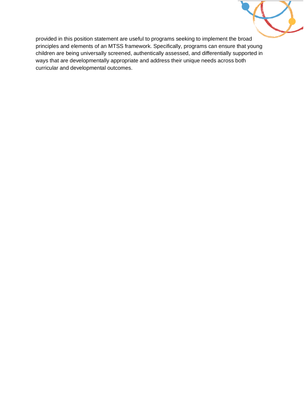

provided in this position statement are useful to programs seeking to implement the broad principles and elements of an MTSS framework. Specifically, programs can ensure that young children are being universally screened, authentically assessed, and differentially supported in ways that are developmentally appropriate and address their unique needs across both curricular and developmental outcomes.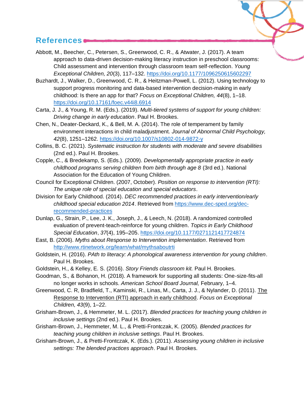### **References**

- Abbott, M., Beecher, C., Petersen, S., Greenwood, C. R., & Atwater, J. (2017). A team approach to data-driven decision-making literacy instruction in preschool classrooms: Child assessment and intervention through classroom team self-reflection. *Young Exceptional Children, 20*(3), 117–132.<https://doi.org/10.1177/1096250615602297>
- Buzhardt, J., Walker, D., Greenwood, C. R., & Heitzman-Powell, L. (2012). Using technology to support progress monitoring and data-based intervention decision-making in early childhood: Is there an app for that? *Focus on Exceptional Children, 44*(8), 1–18. <https://doi.org/10.17161/foec.v44i8.6914>
- Carta, J. J., & Young, R. M. (Eds.). (2019). *Multi-tiered systems of support for young children: Driving change in early education*. Paul H. Brookes.
- Chen, N., Deater‐Deckard, K., & Bell, M. A. (2014). The role of temperament by family environment interactions in child maladjustment. *Journal of Abnormal Child Psychology, 42*(8), 1251–1262.<https://doi.org/10.1007/s10802-014-9872-y>
- Collins, B. C. (2021). *Systematic instruction for students with moderate and severe disabilities* (2nd ed.). Paul H. Brookes.
- Copple, C., & Bredekamp, S. (Eds.). (2009). *Developmentally appropriate practice in early childhood programs serving children from birth through age 8* (3rd ed.). National Association for the Education of Young Children.
- Council for Exceptional Children. (2007, October). *Position on response to intervention (RTI): The unique role of special education and special educators*.
- Division for Early Childhood. (2014). *DEC recommended practices in early intervention/early childhood special education 2014*. Retrieved from [https://www.dec-sped.org/dec](https://www.dec-sped.org/dec-recommended-practices)[recommended-practices](https://www.dec-sped.org/dec-recommended-practices)
- Dunlap, G., Strain, P., Lee, J. K., Joseph, J., & Leech, N. (2018). A randomized controlled evaluation of prevent-teach-reinforce for young children. *Topics in Early Childhood Special Education*, *37*(4), 195–205.<https://doi.org/10.1177/0271121417724874>
- East, B. (2006). *Myths about Response to Intervention implementation*. Retrieved from <http://www.rtinetwork.org/learn/what/mythsaboutrti>
- Goldstein, H. (2016). *PAth to literacy: A phonological awareness intervention for young children*. Paul H. Brookes.
- Goldstein, H., & Kelley, E. S. (2016). *Story Friends classroom kit.* Paul H. Brookes.
- Goodman, S., & Bohanon, H. (2018). A framework for supporting all students: One-size-fits-all no longer works in schools. *American School Board Journal,* February, 1–4.
- Greenwood, C. R, Bradfield, T., Kaminski, R., Linas, M., Carta, J. J., & Nylander, D. (2011). [The](http://www.crtiec.org/aboutcrtiec/documents/FOEC-V43-9-May-v5.pdf)  [Response to Intervention \(RTI\) approach in early childhood.](http://www.crtiec.org/aboutcrtiec/documents/FOEC-V43-9-May-v5.pdf) *Focus on Exceptional Children, 43*(9), 1–22.
- Grisham-Brown, J., & Hemmeter, M. L. (2017). *Blended practices for teaching young children in inclusive settings* (2nd ed.). Paul H. Brookes.
- Grisham-Brown, J., Hemmeter, M. L., & Pretti-Frontczak, K. (2005). *Blended practices for teaching young children in inclusive settings*. Paul H. Brookes.
- Grisham-Brown, J., & Pretti-Frontczak, K. (Eds.). (2011). *Assessing young children in inclusive settings: The blended practices approach*. Paul H. Brookes.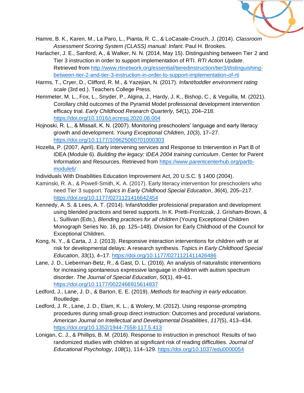

- Hamre, B. K., Karen, M., La Paro, L., Pianta, R. C., & LoCasale-Crouch, J. (2014). *Classroom Assessment Scoring System (CLASS) manual: Infant*. Paul H. Brookes.
- Harlacher, J. E., Sanford, A., & Walker, N. N. (2014, May 15). Distinguishing between Tier 2 and Tier 3 instruction in order to support implementation of RTI. *RTI Action Update*. Retrieved from [http://www.rtinetwork.org/essential/tieredinstruction/tier3/distinguishing](http://www.rtinetwork.org/essential/tieredinstruction/tier3/distinguishing-between-tier-2-and-tier-3-instruction-in-order-to-support-implementation-of-rti)[between-tier-2-and-tier-3-instruction-in-order-to-support-implementation-of-rti](http://www.rtinetwork.org/essential/tieredinstruction/tier3/distinguishing-between-tier-2-and-tier-3-instruction-in-order-to-support-implementation-of-rti)
- Harms, T., Cryer, D., Clifford, R. M., & Yazejian, N. (2017). *Infant/toddler environment rating scale* (3rd ed.). Teachers College Press.
- Hemmeter, M. L., Fox, L., Snyder, P., Algina, J., Hardy, J. K., Bishop, C., & Veguilla, M. (2021). Corollary child outcomes of the Pyramid Model professional development intervention efficacy trial. *Early Childhood Research Quarterly, 54*(1), 204–218. <https://doi.org/10.1016/j.ecresq.2020.08.004>
- Hojnoski, R. L., & Missall, K. N. (2007). Monitoring preschoolers' language and early literacy growth and development. *Young Exceptional Children, 10*(3), 17–27*.* <https://doi.org/10.1177/109625060701000303>
- Hozella, P. (2007, April). Early intervening services and Response to Intervention in Part B of IDEA (Module 6). *Building the legacy: IDEA 2004 training curriculum*. Center for Parent Information and Resources. Retrieved from [https://www.parentcenterhub.org/partb](https://www.parentcenterhub.org/partb-module6/)[module6/](https://www.parentcenterhub.org/partb-module6/)
- Individuals With Disabilities Education Improvement Act, 20 U.S.C. § 1400 (2004).
- Kaminski, R. A., & Powell-Smith, K. A. (2017). Early literacy intervention for preschoolers who need Tier 3 support. *Topics in Early Childhood Special Education*, *36*(4), 205–217. <https://doi.org/10.1177/0271121416642454>
- Kennedy, A. S. & Lees, A. T. (2014). Infant/toddler professional preparation and development using blended practices and tiered supports. In K. Pretti-Frontczak, J. Grisham-Brown, & L. Sullivan (Eds.), *Blending practices for all children* (Young Exceptional Children Monograph Series No. 16, pp. 125–148). Division for Early Childhood of the Council for Exceptional Children.
- Kong, N. Y., & Carta, J. J. (2013). Responsive interaction interventions for children with or at risk for developmental delays: A research synthesis. *Topics in Early Childhood Special Education*, *33*(1), 4–17.<https://doi.org/10.1177/0271121411426486>
- Lane, J. D., Lieberman-Betz, R., & Gast, D. L. (2016). An analysis of naturalistic interventions for increasing spontaneous expressive language in children with autism spectrum disorder. *The Journal of Special Education*, *50*(1), 49–61. <https://doi.org/10.1177/0022466915614837>
- Ledford, J., Lane, J. D., & Barton, E. E. (2019). *Methods for teaching in early education*. Routledge.
- Ledford, J. R., Lane, J. D., Elam, K. L., & Wolery, M. (2012). Using response-prompting procedures during small-group direct instruction: Outcomes and procedural variations. *American Journal on Intellectual and Developmental Disabilities*, *117*(5), 413–434. <https://doi.org/10.1352/1944-7558-117.5.413>
- Lonigan, C. J., & Phillips, B. M. (2016). Response to instruction in preschool: Results of two randomized studies with children at significant risk of reading difficulties. *Journal of Educational Psychology*, *108*(1), 114–129.<https://doi.org/10.1037/edu0000054>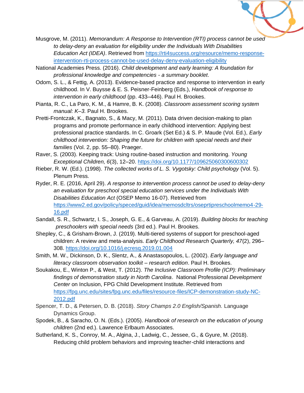

- Musgrove, M. (2011). *Memorandum: A Response to Intervention (RTI) process cannot be used to delay-deny an evaluation for eligibility under the Individuals With Disabilities Education Act (IDEA)*. Retrieved from [https://rti4success.org/resource/memo-response](https://rti4success.org/resource/memo-response-intervention-rti-process-cannot-be-used-delay-deny-evaluation-eligibility)[intervention-rti-process-cannot-be-used-delay-deny-evaluation-eligibility](https://rti4success.org/resource/memo-response-intervention-rti-process-cannot-be-used-delay-deny-evaluation-eligibility)
- National Academies Press. (2016). *Child development and early learning: A foundation for professional knowledge and competencies - a summary booklet*.
- Odom, S. L., & Fettig, A. (2013). Evidence-based practice and response to intervention in early childhood. In V. Buysse & E. S. Peisner-Feinberg (Eds.), *Handbook of response to intervention in early childhood* (pp. 433–446). Paul H. Brookes.
- Pianta, R. C., La Paro, K. M., & Hamre, B. K. (2008). *Classroom assessment scoring system manual: K–3.* Paul H. Brookes.
- Pretti-Frontczak, K., Bagnato, S., & Macy, M. (2011). Data driven decision-making to plan programs and promote performance in early childhood intervention: Applying best professional practice standards. In C. Groark (Set Ed.) & S. P. Maude (Vol. Ed.), *Early childhood intervention: Shaping the future for children with special needs and their families* (Vol. 2, pp. 55–80). Praeger.
- Raver, S. (2003). Keeping track: Using routine-based instruction and monitoring. *Young Exceptional Children, 6*(3), 12–20.<https://doi.org/10.1177/109625060300600302>
- Rieber, R. W. (Ed.). (1998). *The collected works of L. S. Vygotsky: Child psychology* (Vol. 5). Plenum Press.
- Ryder, R. E. (2016, April 29). *A response to intervention process cannot be used to delay-deny an evaluation for preschool special education services under the Individuals With Disabilities Education Act* (OSEP Memo 16-07). Retrieved from [https://www2.ed.gov/policy/speced/guid/idea/memosdcltrs/oseprtipreschoolmemo4-29-](https://www2.ed.gov/policy/speced/guid/idea/memosdcltrs/oseprtipreschoolmemo4-29-16.pdf) [16.pdf](https://www2.ed.gov/policy/speced/guid/idea/memosdcltrs/oseprtipreschoolmemo4-29-16.pdf)
- Sandall, S. R., Schwartz, I. S., Joseph, G. E., & Garveau, A. (2019). *Building blocks for teaching preschoolers with special needs* (3rd ed.)*.* Paul H. Brookes.
- Shepley, C., & Grisham-Brown, J. (2019). Multi-tiered systems of support for preschool-aged children: A review and meta-analysis. *Early Childhood Research Quarterly, 47*(2), 296– 308.<https://doi.org/10.1016/j.ecresq.2019.01.004>
- Smith, M. W., Dickinson, D. K., Slentz, A., & Anastasopoulos, L. (2002). *Early language and literacy classroom observation toolkit – research edition*. Paul H. Brookes.
- Soukakou, E., Winton P., & West, T. (2012). *The Inclusive Classroom Profile (ICP): Preliminary findings of demonstration study in North Carolina*. National Professional *Development Center* on Inclusion, FPG Child Development Institute. Retrieved from [https://fpg.unc.edu/sites/fpg.unc.edu/files/resource-files/ICP-demonstration-study-NC-](https://fpg.unc.edu/sites/fpg.unc.edu/files/resource-files/ICP-demonstration-study-NC-2012.pdf)[2012.pdf](https://fpg.unc.edu/sites/fpg.unc.edu/files/resource-files/ICP-demonstration-study-NC-2012.pdf)
- Spencer, T. D., & Petersen, D. B. (2018). *Story Champs 2.0 English/Spanish.* Language Dynamics Group.
- Spodek, B., & Saracho, O. N. (Eds.). (2005). *Handbook of research on the education of young children* (2nd ed.). Lawrence Erlbaum Associates.
- Sutherland, K. S., Conroy, M. A., Algina, J., Ladwig, C., Jessee, G., & Gyure, M. (2018). Reducing child problem behaviors and improving teacher-child interactions and